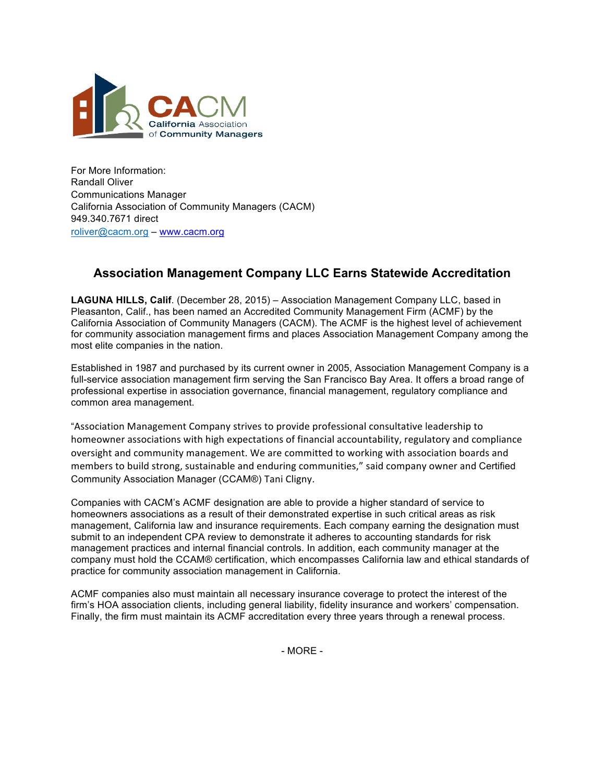

For More Information: Randall Oliver Communications Manager California Association of Community Managers (CACM) 949.340.7671 direct roliver@cacm.org – www.cacm.org

## **Association Management Company LLC Earns Statewide Accreditation**

**LAGUNA HILLS, Calif**. (December 28, 2015) – Association Management Company LLC, based in Pleasanton, Calif., has been named an Accredited Community Management Firm (ACMF) by the California Association of Community Managers (CACM). The ACMF is the highest level of achievement for community association management firms and places Association Management Company among the most elite companies in the nation.

Established in 1987 and purchased by its current owner in 2005, Association Management Company is a full-service association management firm serving the San Francisco Bay Area. It offers a broad range of professional expertise in association governance, financial management, regulatory compliance and common area management.

"Association Management Company strives to provide professional consultative leadership to homeowner associations with high expectations of financial accountability, regulatory and compliance oversight and community management. We are committed to working with association boards and members to build strong, sustainable and enduring communities," said company owner and Certified Community Association Manager (CCAM®) Tani Cligny.

Companies with CACM's ACMF designation are able to provide a higher standard of service to homeowners associations as a result of their demonstrated expertise in such critical areas as risk management, California law and insurance requirements. Each company earning the designation must submit to an independent CPA review to demonstrate it adheres to accounting standards for risk management practices and internal financial controls. In addition, each community manager at the company must hold the CCAM® certification, which encompasses California law and ethical standards of practice for community association management in California.

ACMF companies also must maintain all necessary insurance coverage to protect the interest of the firm's HOA association clients, including general liability, fidelity insurance and workers' compensation. Finally, the firm must maintain its ACMF accreditation every three years through a renewal process.

- MORE -